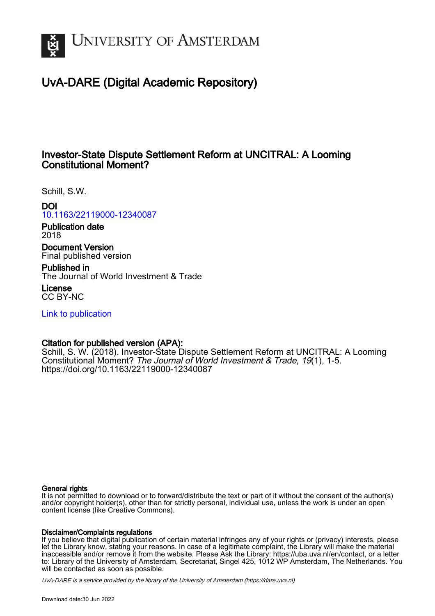

# UvA-DARE (Digital Academic Repository)

## Investor-State Dispute Settlement Reform at UNCITRAL: A Looming Constitutional Moment?

Schill, S.W.

## DOI

[10.1163/22119000-12340087](https://doi.org/10.1163/22119000-12340087)

Publication date 2018

Document Version Final published version

Published in The Journal of World Investment & Trade

License CC BY-NC

[Link to publication](https://dare.uva.nl/personal/pure/en/publications/investorstate-dispute-settlement-reform-at-uncitral-a-looming-constitutional-moment(4a7e504a-7a5e-4f59-8876-f201265dc144).html)

### Citation for published version (APA):

Schill, S. W. (2018). Investor-State Dispute Settlement Reform at UNCITRAL: A Looming Constitutional Moment? The Journal of World Investment & Trade, 19(1), 1-5. <https://doi.org/10.1163/22119000-12340087>

### General rights

It is not permitted to download or to forward/distribute the text or part of it without the consent of the author(s) and/or copyright holder(s), other than for strictly personal, individual use, unless the work is under an open content license (like Creative Commons).

#### Disclaimer/Complaints regulations

If you believe that digital publication of certain material infringes any of your rights or (privacy) interests, please let the Library know, stating your reasons. In case of a legitimate complaint, the Library will make the material inaccessible and/or remove it from the website. Please Ask the Library: https://uba.uva.nl/en/contact, or a letter to: Library of the University of Amsterdam, Secretariat, Singel 425, 1012 WP Amsterdam, The Netherlands. You will be contacted as soon as possible.

UvA-DARE is a service provided by the library of the University of Amsterdam (http*s*://dare.uva.nl)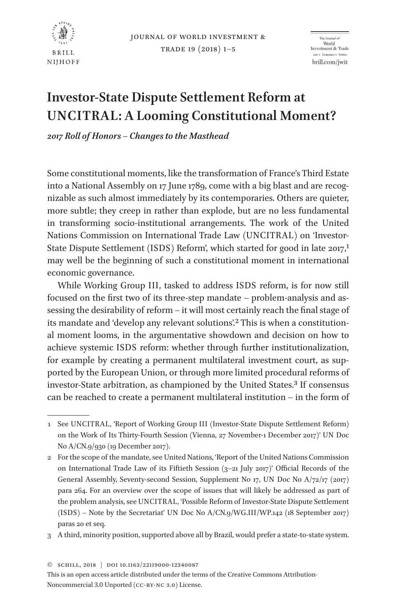

The Journal of World Investment & Trade Law a Fronomics a Politics brill.com/jwit

## **Investor-State Dispute Settlement Reform at UNCITRAL: A Looming Constitutional Moment?**

*2017 Roll of Honors – Changes to the Masthead*

Some constitutional moments, like the transformation of France's Third Estate into a National Assembly on 17 June 1789, come with a big blast and are recognizable as such almost immediately by its contemporaries. Others are quieter, more subtle; they creep in rather than explode, but are no less fundamental in transforming socio-institutional arrangements. The work of the United Nations Commission on International Trade Law (UNCITRAL) on 'Investor-State Dispute Settlement (ISDS) Reform', which started for good in late 2017,<sup>1</sup> may well be the beginning of such a constitutional moment in international economic governance.

While Working Group III, tasked to address ISDS reform, is for now still focused on the first two of its three-step mandate – problem-analysis and assessing the desirability of reform – it will most certainly reach the final stage of its mandate and 'develop any relevant solutions'.2 This is when a constitutional moment looms, in the argumentative showdown and decision on how to achieve systemic ISDS reform: whether through further institutionalization, for example by creating a permanent multilateral investment court, as supported by the European Union, or through more limited procedural reforms of investor-State arbitration, as championed by the United States.3 If consensus can be reached to create a permanent multilateral institution – in the form of

3 A third, minority position, supported above all by Brazil, would prefer a state-to-state system.

<sup>1</sup> See UNCITRAL, 'Report of Working Group III (Investor-State Dispute Settlement Reform) on the Work of Its Thirty-Fourth Session (Vienna, 27 November-1 December 2017)' UN Doc No A/CN.9/930 (19 December 2017).

<sup>2</sup> For the scope of the mandate, see United Nations, 'Report of the United Nations Commission on International Trade Law of its Fiftieth Session (3–21 July 2017)' Official Records of the General Assembly, Seventy-second Session, Supplement No 17, UN Doc No A/72/17 (2017) para 264. For an overview over the scope of issues that will likely be addressed as part of the problem analysis, see UNCITRAL, 'Possible Reform of Investor-State Dispute Settlement (ISDS) – Note by the Secretariat' UN Doc No A/CN.9/WG.III/WP.142 (18 September 2017) paras 20 et seq.

<sup>©</sup> Schill, 2018 | doi 10.1163/22119000-12340087

This is an open access article distributed under the terms of the Creative Commons Attribution-Noncommercial 3.0 Unported (CC-BY-NC 3.0) License.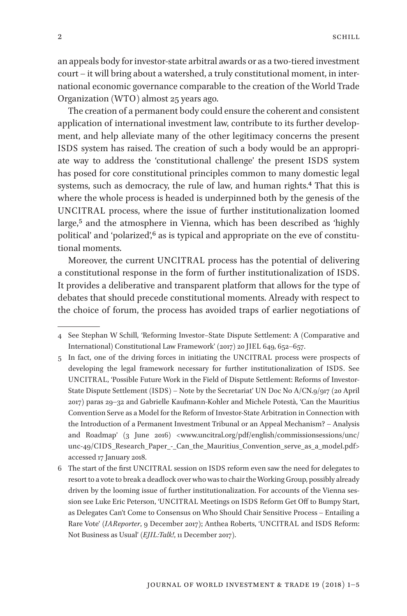an appeals body for investor-state arbitral awards or as a two-tiered investment court – it will bring about a watershed, a truly constitutional moment, in international economic governance comparable to the creation of the World Trade Organization (WTO) almost 25 years ago.

The creation of a permanent body could ensure the coherent and consistent application of international investment law, contribute to its further development, and help alleviate many of the other legitimacy concerns the present ISDS system has raised. The creation of such a body would be an appropriate way to address the 'constitutional challenge' the present ISDS system has posed for core constitutional principles common to many domestic legal systems, such as democracy, the rule of law, and human rights.<sup>4</sup> That this is where the whole process is headed is underpinned both by the genesis of the UNCITRAL process, where the issue of further institutionalization loomed large,<sup>5</sup> and the atmosphere in Vienna, which has been described as 'highly political' and 'polarized',<sup>6</sup> as is typical and appropriate on the eve of constitutional moments.

Moreover, the current UNCITRAL process has the potential of delivering a constitutional response in the form of further institutionalization of ISDS. It provides a deliberative and transparent platform that allows for the type of debates that should precede constitutional moments. Already with respect to the choice of forum, the process has avoided traps of earlier negotiations of

<sup>4</sup> See Stephan W Schill, 'Reforming Investor–State Dispute Settlement: A (Comparative and International) Constitutional Law Framework' (2017) 20 JIEL 649, 652–657.

<sup>5</sup> In fact, one of the driving forces in initiating the UNCITRAL process were prospects of developing the legal framework necessary for further institutionalization of ISDS. See UNCITRAL, 'Possible Future Work in the Field of Dispute Settlement: Reforms of Investor-State Dispute Settlement (ISDS) – Note by the Secretariat' UN Doc No A/CN.9/917 (20 April 2017) paras 29–32 and Gabrielle Kaufmann-Kohler and Michele Potestà, 'Can the Mauritius Convention Serve as a Model for the Reform of Investor-State Arbitration in Connection with the Introduction of a Permanent Investment Tribunal or an Appeal Mechanism? – Analysis and Roadmap' (3 June 2016) <[www.uncitral.org/pdf/english/commissionsessions/unc/](http://www.uncitral.org/pdf/english/commissionsessions/unc/unc-49/CIDS_Research_Paper_-_Can_the_Mauritius_Convention_serve_as_a_model.pdf) unc-49/CIDS Research Paper - Can the Mauritius Convention serve as a model.pdf> accessed 17 January 2018.

<sup>6</sup> The start of the first UNCITRAL session on ISDS reform even saw the need for delegates to resort to a vote to break a deadlock over who was to chair the Working Group, possibly already driven by the looming issue of further institutionalization. For accounts of the Vienna session see Luke Eric Peterson, 'UNCITRAL Meetings on ISDS Reform Get Off to Bumpy Start, as Delegates Can't Come to Consensus on Who Should Chair Sensitive Process – Entailing a Rare Vote' (*IAReporter*, 9 December 2017); Anthea Roberts, 'UNCITRAL and ISDS Reform: Not Business as Usual' (*EJIL:Talk!*, 11 December 2017).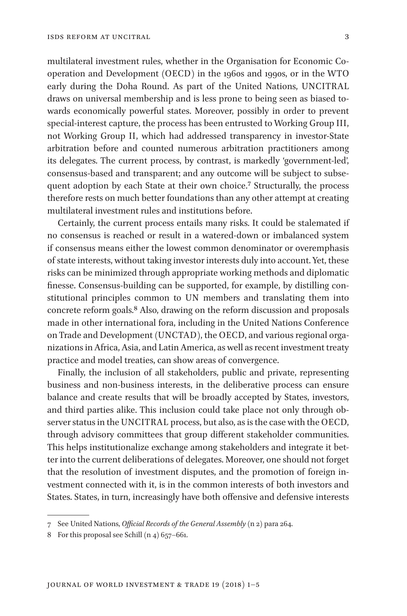multilateral investment rules, whether in the Organisation for Economic Cooperation and Development (OECD) in the 1960s and 1990s, or in the WTO early during the Doha Round. As part of the United Nations, UNCITRAL draws on universal membership and is less prone to being seen as biased towards economically powerful states. Moreover, possibly in order to prevent special-interest capture, the process has been entrusted to Working Group III, not Working Group II, which had addressed transparency in investor-State arbitration before and counted numerous arbitration practitioners among its delegates. The current process, by contrast, is markedly 'government-led', consensus-based and transparent; and any outcome will be subject to subsequent adoption by each State at their own choice.7 Structurally, the process therefore rests on much better foundations than any other attempt at creating multilateral investment rules and institutions before.

Certainly, the current process entails many risks. It could be stalemated if no consensus is reached or result in a watered-down or imbalanced system if consensus means either the lowest common denominator or overemphasis of state interests, without taking investor interests duly into account. Yet, these risks can be minimized through appropriate working methods and diplomatic finesse. Consensus-building can be supported, for example, by distilling constitutional principles common to UN members and translating them into concrete reform goals.8 Also, drawing on the reform discussion and proposals made in other international fora, including in the United Nations Conference on Trade and Development (UNCTAD), the OECD, and various regional organizations in Africa, Asia, and Latin America, as well as recent investment treaty practice and model treaties, can show areas of convergence.

Finally, the inclusion of all stakeholders, public and private, representing business and non-business interests, in the deliberative process can ensure balance and create results that will be broadly accepted by States, investors, and third parties alike. This inclusion could take place not only through observer status in the UNCITRAL process, but also, as is the case with the OECD, through advisory committees that group different stakeholder communities. This helps institutionalize exchange among stakeholders and integrate it better into the current deliberations of delegates. Moreover, one should not forget that the resolution of investment disputes, and the promotion of foreign investment connected with it, is in the common interests of both investors and States. States, in turn, increasingly have both offensive and defensive interests

<sup>7</sup> See United Nations, *Official Records of the General Assembly* (n 2) para 264.

<sup>8</sup> For this proposal see Schill (n 4) 657–661.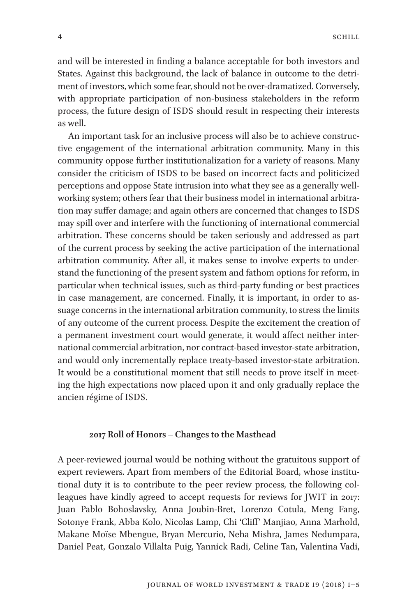and will be interested in finding a balance acceptable for both investors and States. Against this background, the lack of balance in outcome to the detriment of investors, which some fear, should not be over-dramatized. Conversely, with appropriate participation of non-business stakeholders in the reform process, the future design of ISDS should result in respecting their interests as well.

An important task for an inclusive process will also be to achieve constructive engagement of the international arbitration community. Many in this community oppose further institutionalization for a variety of reasons. Many consider the criticism of ISDS to be based on incorrect facts and politicized perceptions and oppose State intrusion into what they see as a generally wellworking system; others fear that their business model in international arbitration may suffer damage; and again others are concerned that changes to ISDS may spill over and interfere with the functioning of international commercial arbitration. These concerns should be taken seriously and addressed as part of the current process by seeking the active participation of the international arbitration community. After all, it makes sense to involve experts to understand the functioning of the present system and fathom options for reform, in particular when technical issues, such as third-party funding or best practices in case management, are concerned. Finally, it is important, in order to assuage concerns in the international arbitration community, to stress the limits of any outcome of the current process. Despite the excitement the creation of a permanent investment court would generate, it would affect neither international commercial arbitration, nor contract-based investor-state arbitration, and would only incrementally replace treaty-based investor-state arbitration. It would be a constitutional moment that still needs to prove itself in meeting the high expectations now placed upon it and only gradually replace the ancien régime of ISDS.

#### **2017 Roll of Honors – Changes to the Masthead**

A peer-reviewed journal would be nothing without the gratuitous support of expert reviewers. Apart from members of the Editorial Board, whose institutional duty it is to contribute to the peer review process, the following colleagues have kindly agreed to accept requests for reviews for JWIT in 2017: Juan Pablo Bohoslavsky, Anna Joubin-Bret, Lorenzo Cotula, Meng Fang, Sotonye Frank, Abba Kolo, Nicolas Lamp, Chi 'Cliff' Manjiao, Anna Marhold, Makane Moïse Mbengue, Bryan Mercurio, Neha Mishra, James Nedumpara, Daniel Peat, Gonzalo Villalta Puig, Yannick Radi, Celine Tan, Valentina Vadi,